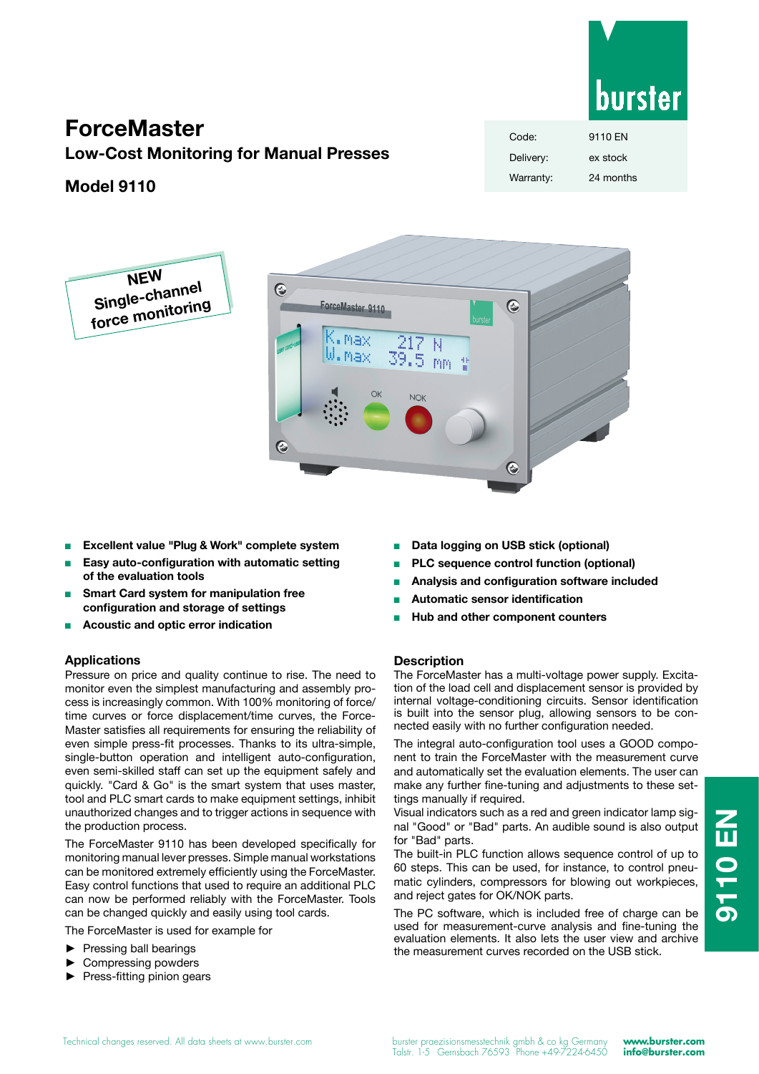# burster

## **ForceMaster**

**NEW Single-channel force monitoring**

**Low-Cost Monitoring for Manual Presses**

## **Model 9110**

| Code:     | 9110 FN   |
|-----------|-----------|
| Delivery: | ex stock  |
| Warranty: | 24 months |



- <sup>n</sup> **Excellent value "Plug & Work" complete system**
- <sup>n</sup> **Easy auto-configuration with automatic setting of the evaluation tools**
- **Smart Card system for manipulation free configuration and storage of settings**
- <sup>n</sup> **Acoustic and optic error indication**

#### **Applications**

Pressure on price and quality continue to rise. The need to monitor even the simplest manufacturing and assembly process is increasingly common. With 100% monitoring of force/ time curves or force displacement/time curves, the Force-Master satisfies all requirements for ensuring the reliability of even simple press-fit processes. Thanks to its ultra-simple, single-button operation and intelligent auto-configuration, even semi-skilled staff can set up the equipment safely and quickly. "Card & Go" is the smart system that uses master, tool and PLC smart cards to make equipment settings, inhibit unauthorized changes and to trigger actions in sequence with the production process.

The ForceMaster 9110 has been developed specifically for monitoring manual lever presses. Simple manual workstations can be monitored extremely efficiently using the ForceMaster. Easy control functions that used to require an additional PLC can now be performed reliably with the ForceMaster. Tools can be changed quickly and easily using tool cards.

The ForceMaster is used for example for

- Pressing ball bearings
- ► Compressing powders
- ► Press-fitting pinion gears
- Data logging on USB stick (optional)
- <sup>n</sup> **PLC sequence control function (optional)**
- <sup>n</sup> **Analysis and configuration software included**
- <sup>n</sup> **Automatic sensor identification**
- <sup>n</sup> **Hub and other component counters**

#### **Description**

The ForceMaster has a multi-voltage power supply. Excitation of the load cell and displacement sensor is provided by internal voltage-conditioning circuits. Sensor identification is built into the sensor plug, allowing sensors to be connected easily with no further configuration needed.

The integral auto-configuration tool uses a GOOD component to train the ForceMaster with the measurement curve and automatically set the evaluation elements. The user can make any further fine-tuning and adjustments to these settings manually if required.

Visual indicators such as a red and green indicator lamp signal "Good" or "Bad" parts. An audible sound is also output for "Bad" parts.

The built-in PLC function allows sequence control of up to 60 steps. This can be used, for instance, to control pneumatic cylinders, compressors for blowing out workpieces, and reject gates for OK/NOK parts.

The PC software, which is included free of charge can be used for measurement-curve analysis and fine-tuning the evaluation elements. It also lets the user view and archive the measurement curves recorded on the USB stick.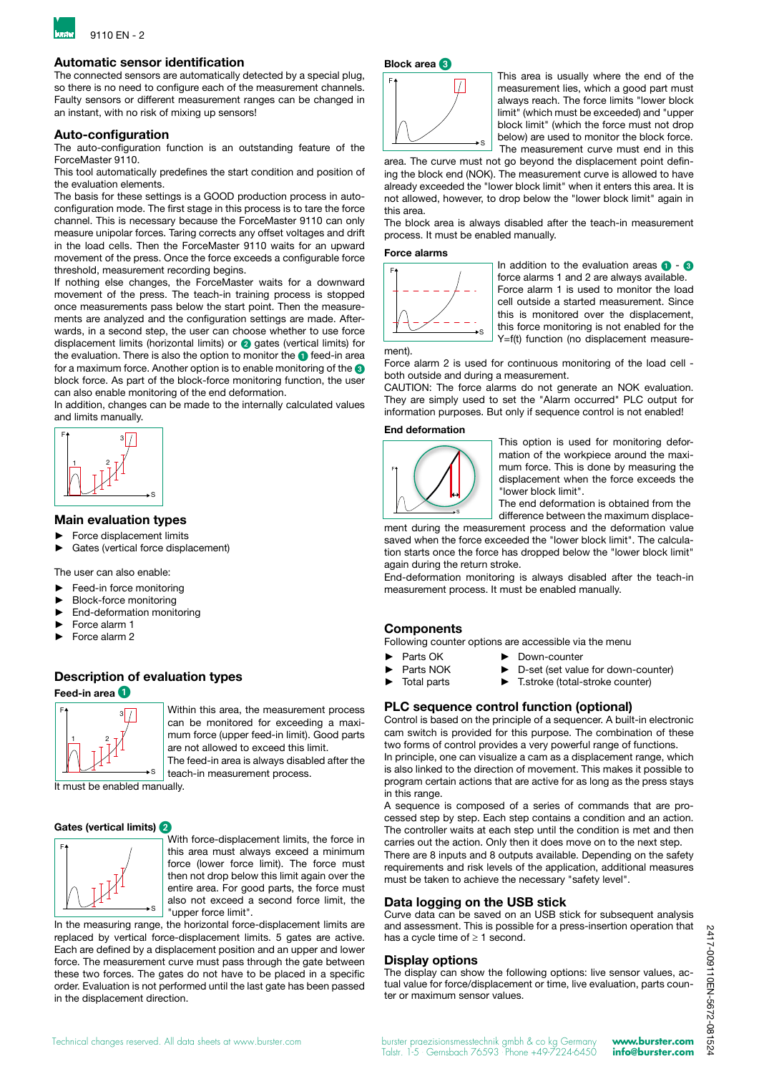

#### **Automatic sensor identification**

The connected sensors are automatically detected by a special plug, so there is no need to configure each of the measurement channels. Faulty sensors or different measurement ranges can be changed in an instant, with no risk of mixing up sensors!

#### **Auto-configuration**

The auto-configuration function is an outstanding feature of the ForceMaster 9110.

This tool automatically predefines the start condition and position of the evaluation elements.

The basis for these settings is a GOOD production process in autoconfiguration mode. The first stage in this process is to tare the force channel. This is necessary because the ForceMaster 9110 can only measure unipolar forces. Taring corrects any offset voltages and drift in the load cells. Then the ForceMaster 9110 waits for an upward movement of the press. Once the force exceeds a configurable force threshold, measurement recording begins.

If nothing else changes, the ForceMaster waits for a downward movement of the press. The teach-in training process is stopped once measurements pass below the start point. Then the measurements are analyzed and the configuration settings are made. Afterwards, in a second step, the user can choose whether to use force displacement limits (horizontal limits) or 2 gates (vertical limits) for the evaluation. There is also the option to monitor the **1** feed-in area for a maximum force. Another option is to enable monitoring of the <sup>3</sup> block force. As part of the block-force monitoring function, the user can also enable monitoring of the end deformation.

In addition, changes can be made to the internally calculated values and limits manually.



#### **Main evaluation types**

- ► Force displacement limits
- Gates (vertical force displacement)

The user can also enable:

- ► Feed-in force monitoring
- ► Block-force monitoring
- End-deformation monitoring
- ► Force alarm 1
- ► Force alarm 2

## **Description of evaluation types**

**Feed-in area** 1



Within this area, the measurement process can be monitored for exceeding a maximum force (upper feed-in limit). Good parts are not allowed to exceed this limit.

The feed-in area is always disabled after the teach-in measurement process.

It must be enabled manually.

#### **Gates (vertical limits)** 2



With force-displacement limits, the force in this area must always exceed a minimum force (lower force limit). The force must then not drop below this limit again over the entire area. For good parts, the force must also not exceed a second force limit, the "upper force limit".

In the measuring range, the horizontal force-displacement limits are replaced by vertical force-displacement limits. 5 gates are active. Each are defined by a displacement position and an upper and lower force. The measurement curve must pass through the gate between these two forces. The gates do not have to be placed in a specific order. Evaluation is not performed until the last gate has been passed in the displacement direction.

#### **Block area** 3



This area is usually where the end of the measurement lies, which a good part must always reach. The force limits "lower block limit" (which must be exceeded) and "upper block limit" (which the force must not drop below) are used to monitor the block force. The measurement curve must end in this

area. The curve must not go beyond the displacement point defining the block end (NOK). The measurement curve is allowed to have already exceeded the "lower block limit" when it enters this area. It is not allowed, however, to drop below the "lower block limit" again in this area.

The block area is always disabled after the teach-in measurement process. It must be enabled manually.

#### **Force alarms**



In addition to the evaluation areas  $\bigcirc$  -  $\bigcirc$ force alarms 1 and 2 are always available. Force alarm 1 is used to monitor the load cell outside a started measurement. Since this is monitored over the displacement, this force monitoring is not enabled for the Y=f(t) function (no displacement measure-

ment).

Force alarm 2 is used for continuous monitoring of the load cell both outside and during a measurement.

CAUTION: The force alarms do not generate an NOK evaluation. They are simply used to set the "Alarm occurred" PLC output for information purposes. But only if sequence control is not enabled!

#### **End deformation**



This option is used for monitoring deformation of the workpiece around the maximum force. This is done by measuring the displacement when the force exceeds the "lower block limit".

The end deformation is obtained from the difference between the maximum displace-

ment during the measurement process and the deformation value saved when the force exceeded the "lower block limit". The calculation starts once the force has dropped below the "lower block limit" again during the return stroke.

End-deformation monitoring is always disabled after the teach-in measurement process. It must be enabled manually.

#### **Components**

Following counter options are accessible via the menu

- Parts OK ► Down-counter
- Parts NOK ► D-set (set value for down-counter)
- 
- ► Total parts ► T.stroke (total-stroke counter)
- **PLC sequence control function (optional)**

Control is based on the principle of a sequencer. A built-in electronic cam switch is provided for this purpose. The combination of these two forms of control provides a very powerful range of functions. In principle, one can visualize a cam as a displacement range, which is also linked to the direction of movement. This makes it possible to program certain actions that are active for as long as the press stays in this range.

A sequence is composed of a series of commands that are processed step by step. Each step contains a condition and an action. The controller waits at each step until the condition is met and then carries out the action. Only then it does move on to the next step. There are 8 inputs and 8 outputs available. Depending on the safety requirements and risk levels of the application, additional measures must be taken to achieve the necessary "safety level".

#### **Data logging on the USB stick**

Curve data can be saved on an USB stick for subsequent analysis and assessment. This is possible for a press-insertion operation that has a cycle time of  $\geq 1$  second.

#### **Display options**

The display can show the following options: live sensor values, actual value for force/displacement or time, live evaluation, parts counter or maximum sensor values.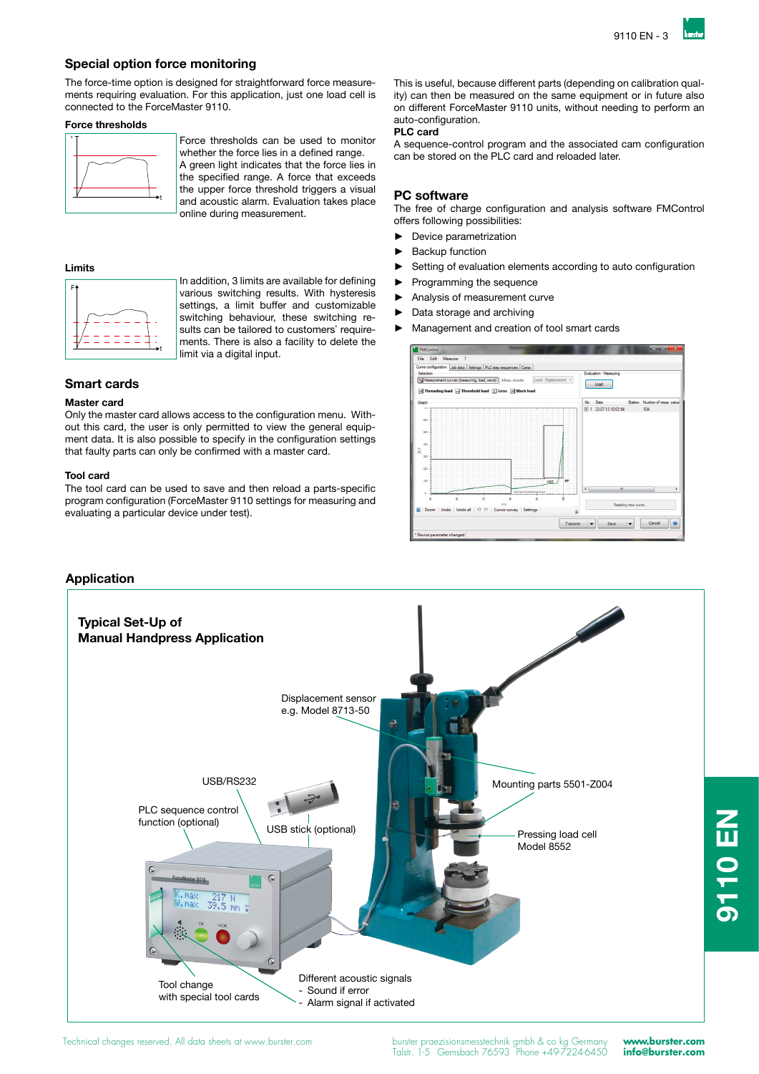#### **Special option force monitoring**

The force-time option is designed for straightforward force measurements requiring evaluation. For this application, just one load cell is connected to the ForceMaster 9110.

#### **Force thresholds**



Force thresholds can be used to monitor whether the force lies in a defined range. A green light indicates that the force lies in the specified range. A force that exceeds the upper force threshold triggers a visual and acoustic alarm. Evaluation takes place online during measurement.

#### **Limits**



In addition, 3 limits are available for defining various switching results. With hysteresis settings, a limit buffer and customizable switching behaviour, these switching results can be tailored to customers' requirements. There is also a facility to delete the limit via a digital input.

#### **Smart cards**

#### **Master card**

Only the master card allows access to the configuration menu. Without this card, the user is only permitted to view the general equipment data. It is also possible to specify in the configuration settings that faulty parts can only be confirmed with a master card.

#### **Tool card**

The tool card can be used to save and then reload a parts-specific program configuration (ForceMaster 9110 settings for measuring and evaluating a particular device under test).

This is useful, because different parts (depending on calibration quality) can then be measured on the same equipment or in future also on different ForceMaster 9110 units, without needing to perform an auto-configuration.

#### **PLC card**

A sequence-control program and the associated cam configuration can be stored on the PLC card and reloaded later.

#### **PC software**

The free of charge configuration and analysis software FMControl offers following possibilities:

► Device parametrization

- **Backup function**
- Setting of evaluation elements according to auto configuration
- Programming the sequence
- Analysis of measurement curve
- Data storage and archiving
- Management and creation of tool smart cards



### **Application**



**9110 EN**

**NED 0110**